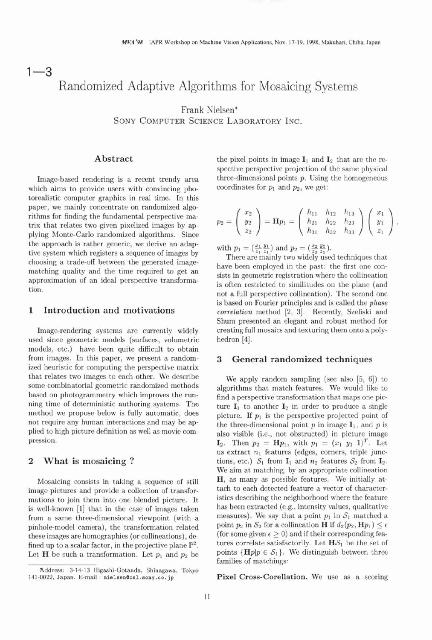# $1 - 3$ Randomized Adaptive Algorithms for Mosaicing Systems

**Frank Nielsen\*** 

SONY COMPUTER SCIENCE LABORATORY INC.

## **Abstract**

Image-based rendering is a recent trendy area which aims to provide users with convincing photorealistic computer graphics in real time. In this paper, we mainly concentrate on randomized algorithms for finding the fundamental perspective matrix that relates two given pixelized images by applying Monte-Carlo randomized algorithms. Since the approach is rather generic, we derive an adaptive system which registers a sequence of images by choosing a trade-off between the generated imagematching quality and the time required to get an approximation of an ideal perspective transformation.

#### **1 Introduction and motivations**

Image-rendering systems are currently widely used since geometric models (surfaces, volumetric models, etc.) have been quite difficult to obtain from images. In this paper, we present a randomized heuristic for computing the perspective matrix that relates two images to each other. We describe some combinatorial geometric randomized methods based on photogrammetry which improves the running time of deterministic authoring systems. The method we propose below is fully automatic, does not require any human interactions and may be applied to high picture definition as well as movie compression.

#### **2 What is mosaicing** ?

Mosaicing consists in taking a sequence of still image pictures and provide a collection of transformations to join them into one blended picture. It is well-known [I] that in the case of images taken from a same three-dimensional viewpoint (with a pinhole-model camera), the transformation related these images are homographies (or collineations), defined up to a scalar factor, in the projective plane  $\mathbb{P}^2$ . Let **H** be such a transformation. Let  $p_1$  and  $p_2$  be

the pixel points in image  $I_1$  and  $I_2$  that are the respective perspective projection of the same physical three-dimensional points  $p$ . Using the homogeneous coordinates for  $p_1$  and  $p_2$ , we get:

$$
p_2=\left(\begin{array}{c}x_2\\y_2\\z_2\end{array}\right)=\mathbf{H}p_1=\left(\begin{array}{ccc}h_{11}&h_{12}&h_{13}\\h_{21}&h_{22}&h_{23}\\h_{31}&h_{32}&h_{33}\end{array}\right)\left(\begin{array}{c}x_1\\y_1\\z_1\end{array}\right),
$$

with  $p_1 = (\frac{x_1}{z_1} \frac{y_1}{z_1})$  and  $p_2 = (\frac{x_2}{z_2} \frac{y_2}{z_2})$ .

There are mainly two widely used techniques that have been employed in the past: the first one consists in geometric registration where the collineation is often restricted to similitudes on the plane (and not a full perspective collineation). The second one is based on Fourier principles and is called the phase correlation method [2, 3]. Recently, Szeliski and Shum presented an elegant and robust method for creating full mosaics and texturing them onto a polyhedron [4].

#### **3 General randomized techniques**

We apply random sampling (see also *[5,* 6)) to algorithms that match features. We would like to find a perspective transformation that maps one picture  $I_1$  to another  $I_2$  in order to produce a single picture. If  $p_1$  is the perspective projected point of the three-dimensional point  $p$  in image  $\mathbf{I}_1$ , and  $p$  is also visible (i.e., not obstructed) in picture image  $\mathbf{I}_2$ . Then  $p_2 = \mathbf{H} p_1$ , with  $p_1 = (x_1 \ y_1 \ 1)^T$ . Let us extract  $n_1$  features (edges, corners, triple junctions, etc.)  $S_1$  from  $I_1$  and  $n_2$  features  $S_2$  from  $I_2$ . We aim at matching, by an appropriate collineation H, as many as possible features. We initially attach to each detected feature a vector of characteristics describing the neighborhood where the feature has been extracted (e.g., intensity values, qualitative measures). We say that a point  $p_1$  in  $S_1$  matched a point  $p_2$  in  $S_2$  for a collineation **H** if  $d_2(p_2, \mathbf{H} p_1) \leq \epsilon$ (for some given  $\epsilon \geq 0$ ) and if their corresponding features correlate satisfactorily. Let  $H\mathcal{S}_1$  be the set of points  $\{Hp|p \in S_1\}$ . We distinguish between three families of matchings:

**Pixel Cross-Corellation.** We use as a scoring

**Address: 3-14-13 Higashi-Gotanda, Shinagawa, Tokyo 141-0022, Japan. E-mail** : **nielsenQcsl.sony .co. jp**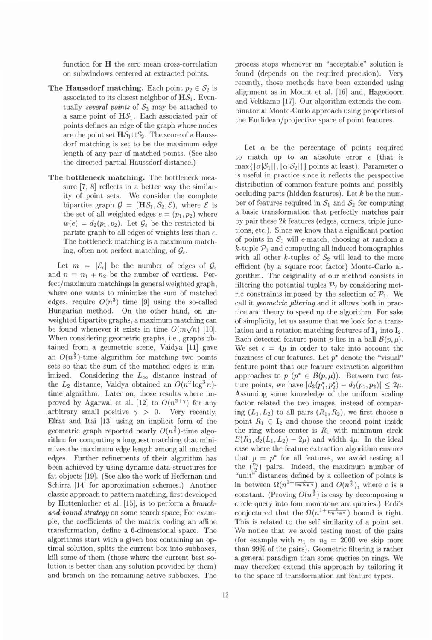function for H the zero mean cross-correlation on subwindows centered at extracted points.

- **The Haussdorf matching.** Each point  $p_2 \in S_2$  is associated to its closest neighbor of  $H\mathcal{S}_1$ . Eventually several points of  $S_2$  may be attached to a same point of  $H\mathcal{S}_1$ . Each associated pair of points defines an edge of the graph whose nodes are the point set  $H\mathcal{S}_1\cup\mathcal{S}_2$ . The score of a Haussdorf matching is set to be the maximum edge length of any pair of matched points. (See also the directed partial Haussdorf distance.)
- The bottleneck matching. The bottleneck measure  $[7, 8]$  reflects in a better way the similarity of point sets. We consider the complete bipartite graph  $\mathcal{G} = (H\mathcal{S}_1, \mathcal{S}_2, \mathcal{E})$ , where  $\mathcal E$  is the set of all weighted edges  $e = (p_1, p_2)$  where  $w(e) = d_2(p_1, p_2)$ . Let  $\mathcal{G}_{\epsilon}$  be the restricted bipartite graph to all edges of weights less than  $\epsilon$ . The bottleneck matching is a maximum matching, often not perfect matching, of  $\mathcal{G}_{\epsilon}$ .

Let  $m = |\mathcal{E}_{\epsilon}|$  be the number of edges of  $\mathcal{G}_{\epsilon}$ and  $n = n_1 + n_2$  be the number of vertices. Perfect/maximum matchings in general weighted graph, where one wants to minimize the sum of matched edges, require  $O(n^3)$  time [9] using the so-called Hungarian method. On the other hand, on unweighted bipartite graphs, a maximum matching can be found whenever it exists in time  $O(m\sqrt{n})$  [10]. When considering geometric graphs, i.e., graphs obtained from a geometric scene, Vaidya [ll] gave an  $O(n^{\frac{3}{2}})$ -time algorithm for matching two points sets so that the sum of the matched edges is minimized. Considering the  $L_{\infty}$  distance instead of the  $L_2$  distance, Vaidya obtained an  $O(n^2 \log^3 n)$ time algorithm. Later on, those results where improved by Agarwal et al. [12] to  $O(n^{2+\gamma})$  for any arbitrary small positive  $\gamma > 0$ . Very recently, Efrat and Itai [13] using an implicit form of the geometric graph reported nearly  $O(n^{\frac{3}{2}})$ -time algorithm for computing a longuest matching that minimizes the maximum edge length among all matched edges. Further refinements of their algorithm has been achieved by using dynamic data-structures for fat objects [19]. (See also the work of Heffernan and Schirra [14] for approximation schemes.) Another classic approach to pattern matching, first developed by Huttenlocher et **al.** [15], is to perform a branchand-bound strategy on some search space; For example, the coefficients of the matrix coding an affine transformation, define a 6-dimensional space. The algorithms start with a given box containing an optimal solution, splits the current box into subboxes, kill some of them (those where the current best solution is better than any solution provided by them) and branch on the remaining active subboxes. The process stops whenever an "acceptable" solution is found (depends on the required precision). Very recently, those methods have been extended using alignment as in Mount et al. **[16]** and, Hagedoorn and Veltkamp [17]. Our algorithm extends the combinatorial Monte-Carlo approach using properties of the Euclidean/projective space of point features.

Let  $\alpha$  be the percentage of points required to match up to an absolute error  $\epsilon$  (that is  $\max\{[\alpha|\mathcal{S}_1|], [\alpha|\mathcal{S}_2|]\}$  points at least). Parameter  $\alpha$ is useful in practice since it reflects the perspective distribution of common feature points and possibly occluding parts (hidden features). Let  $k$  be the number of features required in  $S_1$  and  $S_2$  for computing a basic transformation that perfectly matches pair by pair these 2k features (edges, corners, triple junctions, etc.). Since we know that a significant portion of points in  $S_1$  will  $\epsilon$ -match, choosing at random a  $k$ -tuple  $\mathcal{P}_1$  and computing all induced homographies with all other  $k$ -tuples of  $S_2$  will lead to the more efficient (by a square root factor) Monte-Carlo algorithm. The originality of our method consists in filtering the potential tuples  $\mathcal{P}_2$  by considering metric constraints imposed by the selection of  $P_1$ . We call it geometric filtering and it allows both in practice and theory to speed up the algorithm. For sake of simplicity, let us assume that we look for a translation and a rotation matching features of  $I_1$  into  $I_2$ . Each detected feature point p lies in a ball  $\mathcal{B}(p,\mu)$ . We set  $\epsilon = 4\mu$  in order to take into account the fuzziness of our features. Let  $p^*$  denote the "visual" feature point that our feature extraction algorithm approaches to  $p$  ( $p^* \in B(p,\mu)$ ). Between two feature points, we have  $|d_2(p_1^*, p_2^*) - d_2(p_1, p_2)| \leq 2\mu$ . Assuming some knowledge of the uniform scaling factor related the two images, instead of comparing  $(L_1, L_2)$  to all pairs  $(R_1, R_2)$ , we first choose a point  $R_1 \in I_2$  and choose the second point inside the ring whose center is  $R_1$  with minimum circle  $\mathcal{B}(R_1, d_2(L_1, L_2) - 2\mu)$  and width  $4\mu$ . In the ideal case where the feature extraction algorithm ensures that  $p = p^*$  for all features, we avoid testing all the  $\binom{n_2}{2}$  pairs. Indeed, the maximum number of "unit" distances defined by a collection of points is in between  $\Omega(n^{1+\frac{c}{\log\log n}})$  and  $O(n^{\frac{4}{3}})$ , where c is a constant. (Proving  $O(n^{\frac{3}{2}})$  is easy by decomposing a circle query into four monotone arc queries.) Erdös conjectured that the  $\Omega(n^{1+\frac{c}{\log\log n}})$  bound is tight. This is related to the self similarity of a point set. We notice that we avoid testing most of the pairs (for example with  $n_1 \simeq n_2 = 2000$  we skip more than 99% of the pairs). Geometric filtering is rather a general paradigm than some queries on rings. We may therefore extend this approach by tailoring it to the space of transformation anf feature types.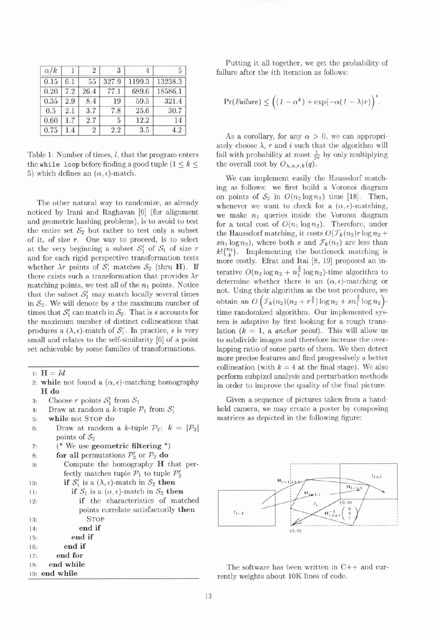| $\alpha/k$ |     | $\overline{2}$ | 3     |        | 5       |
|------------|-----|----------------|-------|--------|---------|
| 0.15       | 6.1 | 55             | 327.9 | 1199.3 | 13238.3 |
| 0.20       | 7.2 | 26.4           | 77.1  | 689.6  | 18586.1 |
| 0.35       | 2.9 | 8.4            | 19    | 59.5   | 321.4   |
| 0.5        | 2.1 | 3.7            | 7.8   | 25.6   | 30.7    |
| 0.60       | 1.7 | 2.7            | 5     | 12.2   | 14      |
| 0.75       | 1.4 | 2              | 2.2   | 3.5    | 4.2     |

Table 1: Number of times,  $l$ , that the program enters the while loop before finding a good tuple  $(1 \leq k \leq$ 5) which defines an  $(\alpha, \epsilon)$ -match.

The other natural way to randomize, as already noticed by Irani and Raghavan [6] (for alignment and geometric hashing problems), is to avoid to test the entire set  $S_2$  but rather to test only a subset of it, of size  $r$ . One way to proceed, is to select at the very beginning a subset  $S_1'$  of  $S_1$  of size r and for each rigid perspective transformation tests whether  $\lambda r$  points of  $S_1'$  matches  $S_2$  (thru **H**). If there exists such a transformation that provides  $\lambda r$ matching points, we test all of the  $n_1$  points. Notice that the subset  $S'_1$  may match locally several times in  $S_2$ . We will denote by s the maximum number of times that  $S'_1$  can match in  $S_2$ . That is s accounts for the maximum number of distinct collineations that produces a  $(\lambda, \epsilon)$ -match of  $S'_1$ . In practice, s is very small and relates to the self-similarity [6] of a point set achievable by some families of transformations.

- 1:  $H = Id$
- 2: **while** not found a  $(\alpha, \epsilon)$ -matching homography H **do**
- 3: Choose r points  $S'_1$  from  $S_1$
- 4: Draw at random a k-tuple  $P_1$  from  $S_1'$
- **5: while** not **STOP do**
- 6: Draw at random a k-tuple  $\mathcal{P}_2$ :  $k = |\mathcal{P}_2|$ points of  $S_2$
- **7:** (\* We use **geometric filtering** \*)
- 8: **for all** permutations  $\mathcal{P}'_2$  or  $\mathcal{P}_2$  **do**
- **9:** Compute the homography H that perfectly matches tuple  $P_1$  to tuple  $P_2'$
- 10: **if**  $S'_1$  is a  $(\lambda, \epsilon)$ -match in  $S_2$  **then** 11: **if**  $S_1$  is a  $(\alpha, \epsilon)$ -match in  $S_2$  **then**

| if the characteristics of matched    |
|--------------------------------------|
| points correlate satisfactorily then |
| <b>STOP</b>                          |
| end if                               |
| end if                               |
| end if                               |
| end for                              |
| 18: end while                        |
| 19: end while                        |
| 17:                                  |

Putting it all together, we get the probability of failure after the  $i$ th iteration as follows:

$$
Pr(Failure) \leq ((1 - \alpha^{k}) + \exp(-\alpha(1 - \lambda)r))^{i}.
$$

As a corollary, for any  $\alpha > 0$ , we can appropriately choose  $\lambda$ ,  $r$  and  $i$  such that the algorithm will fail with probability at most  $\frac{1}{2q}$  by only multiplying the overall cost by  $O_{\lambda,\alpha,r,k}(q)$ .

We can implement easily the Haussdorf matching as follows: we first build a Voronoi diagram on points of  $S_2$  in  $O(n_2\log n_2)$  time [18]. Then, whenever we want to check for a  $(\alpha, \epsilon)$ -matching, we make  $n_1$  queries inside the Voronoi diagram for a total cost of  $O(n_1 \log n_2)$ . Therefore, under the Haussdorf matching, it costs  $O(\mathcal{F}_k(n_2)r \log n_2 +$  $sn_1 \log n_2$ , where both s and  $\mathcal{F}_k(n_2)$  are less than  $k! \binom{n_2}{k}$ . Implementing the bottleneck matching is more costly. Efrat and Itai [8, 19] proposed an interative  $O(n_2 \log n_2 + n_1^{\frac{3}{2}} \log n_2)$ -time algorithm to determine whether there is an  $(\alpha, \epsilon)$ -matching or not. Using their algorithm as the test procedure, we obtain an  $O\left(\mathcal{F}_k(n_2) (n_2 + r^{\frac{3}{2}}) \log n_2 + s n_1^{\frac{3}{2}} \log n_2\right)$ -<br>time randomized algorithm. Our implemented system is adaptive by first looking for a rough translation  $(k = 1$ , a anchor point). This will allow us to subdivide images and therefore increase the overlapping ratio of some parts of them. We then detect more precise features and find progressively a better collineation (with  $k = 4$  at the final stage). We also perform subpixel analysis and perturbation methods in order to improve the quality of the final picture.

Given a sequence of pictures taken from a handheld camera, we may create a poster by composing matrices as depicted in the following figure:



The software has been written in C++ and currently weights about 10K lines of code.